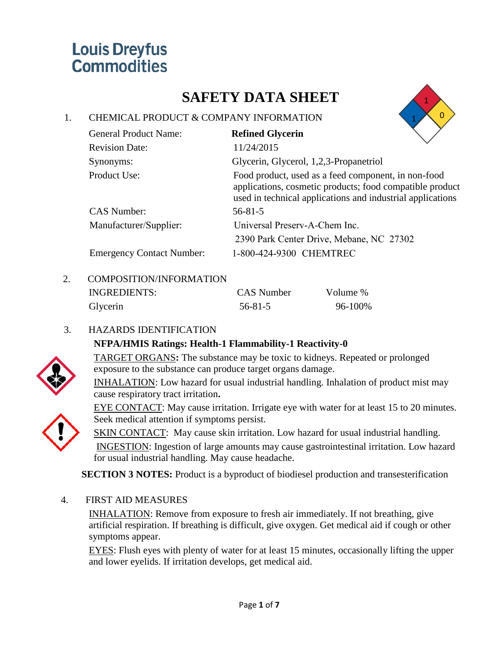## **SAFETY DATA SHEET**

## 1. CHEMICAL PRODUCT & COMPANY INFORMATION



| <b>General Product Name:</b>     | <b>Refined Glycerin</b>                                                                                                                                                       |  |
|----------------------------------|-------------------------------------------------------------------------------------------------------------------------------------------------------------------------------|--|
| <b>Revision Date:</b>            | 11/24/2015                                                                                                                                                                    |  |
| Synonyms:                        | Glycerin, Glycerol, 1,2,3-Propanetriol                                                                                                                                        |  |
| Product Use:                     | Food product, used as a feed component, in non-food<br>applications, cosmetic products; food compatible product<br>used in technical applications and industrial applications |  |
| <b>CAS Number:</b>               | $56 - 81 - 5$                                                                                                                                                                 |  |
| Manufacturer/Supplier:           | Universal Preserv-A-Chem Inc.                                                                                                                                                 |  |
|                                  | 2390 Park Center Drive, Mebane, NC 27302                                                                                                                                      |  |
| <b>Emergency Contact Number:</b> | 1-800-424-9300 CHEMTREC                                                                                                                                                       |  |

## 2. COMPOSITION/INFORMATION

| INGREDIENTS: | CAS Number    | Volume % |
|--------------|---------------|----------|
| Glycerin     | $56 - 81 - 5$ | 96-100%  |

## 3. HAZARDS IDENTIFICATION

## **NFPA/HMIS Ratings: Health-1 Flammability-1 Reactivity-0**



TARGET ORGANS**:** The substance may be toxic to kidneys. Repeated or prolonged exposure to the substance can produce target organs damage.

INHALATION: Low hazard for usual industrial handling. Inhalation of product mist may cause respiratory tract irritation**.**

EYE CONTACT: May cause irritation. Irrigate eye with water for at least 15 to 20 minutes. Seek medical attention if symptoms persist.

SKIN CONTACT: May cause skin irritation. Low hazard for usual industrial handling. INGESTION: Ingestion of large amounts may cause gastrointestinal irritation. Low hazard for usual industrial handling. May cause headache.

**SECTION 3 NOTES:** Product is a byproduct of biodiesel production and transesterification

4. FIRST AID MEASURES

INHALATION: Remove from exposure to fresh air immediately. If not breathing, give artificial respiration. If breathing is difficult, give oxygen. Get medical aid if cough or other symptoms appear.

EYES: Flush eyes with plenty of water for at least 15 minutes, occasionally lifting the upper and lower eyelids. If irritation develops, get medical aid.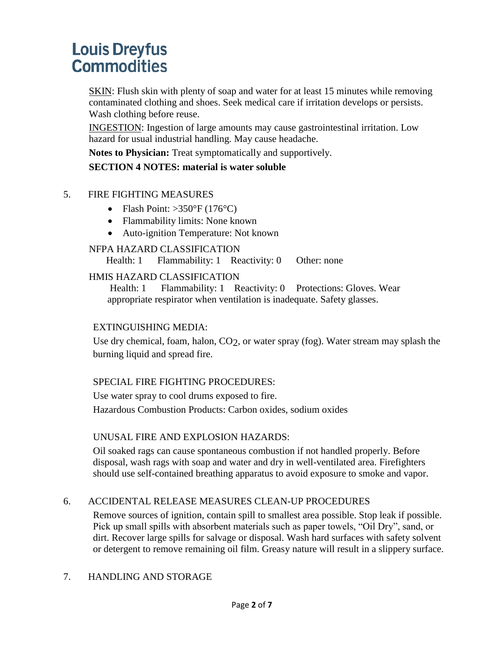SKIN: Flush skin with plenty of soap and water for at least 15 minutes while removing contaminated clothing and shoes. Seek medical care if irritation develops or persists. Wash clothing before reuse.

INGESTION: Ingestion of large amounts may cause gastrointestinal irritation. Low hazard for usual industrial handling. May cause headache.

**Notes to Physician:** Treat symptomatically and supportively.

## **SECTION 4 NOTES: material is water soluble**

### 5. FIRE FIGHTING MEASURES

- Flash Point:  $>350^{\circ}$ F (176°C)
- Flammability limits: None known
- Auto-ignition Temperature: Not known

### NFPA HAZARD CLASSIFICATION

Health: 1 Flammability: 1 Reactivity: 0 Other: none

#### HMIS HAZARD CLASSIFICATION

Health: 1 Flammability: 1 Reactivity: 0 Protections: Gloves. Wear appropriate respirator when ventilation is inadequate. Safety glasses.

#### EXTINGUISHING MEDIA:

Use dry chemical, foam, halon, CO2, or water spray (fog). Water stream may splash the burning liquid and spread fire.

## SPECIAL FIRE FIGHTING PROCEDURES:

Use water spray to cool drums exposed to fire. Hazardous Combustion Products: Carbon oxides, sodium oxides

#### UNUSAL FIRE AND EXPLOSION HAZARDS:

Oil soaked rags can cause spontaneous combustion if not handled properly. Before disposal, wash rags with soap and water and dry in well-ventilated area. Firefighters should use self-contained breathing apparatus to avoid exposure to smoke and vapor.

## 6. ACCIDENTAL RELEASE MEASURES CLEAN-UP PROCEDURES

Remove sources of ignition, contain spill to smallest area possible. Stop leak if possible. Pick up small spills with absorbent materials such as paper towels, "Oil Dry", sand, or dirt. Recover large spills for salvage or disposal. Wash hard surfaces with safety solvent or detergent to remove remaining oil film. Greasy nature will result in a slippery surface.

## 7. HANDLING AND STORAGE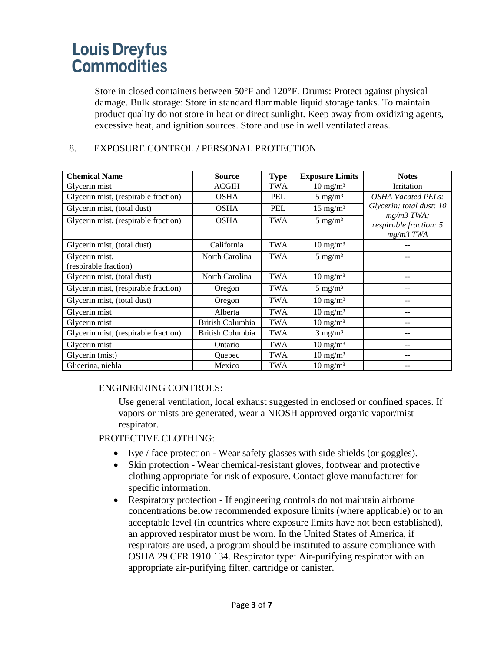Store in closed containers between 50°F and 120°F. Drums: Protect against physical damage. Bulk storage: Store in standard flammable liquid storage tanks. To maintain product quality do not store in heat or direct sunlight. Keep away from oxidizing agents, excessive heat, and ignition sources. Store and use in well ventilated areas.

### 8. EXPOSURE CONTROL / PERSONAL PROTECTION

| <b>Chemical Name</b>                 | <b>Source</b>           | <b>Type</b> | <b>Exposure Limits</b> | <b>Notes</b>                                          |
|--------------------------------------|-------------------------|-------------|------------------------|-------------------------------------------------------|
| Glycerin mist                        | <b>ACGIH</b>            | <b>TWA</b>  | $10 \text{ mg/m}^3$    | Irritation                                            |
| Glycerin mist, (respirable fraction) | <b>OSHA</b>             | <b>PEL</b>  | $5 \text{ mg/m}^3$     | <b>OSHA Vacated PELs:</b>                             |
| Glycerin mist, (total dust)          | <b>OSHA</b>             | <b>PEL</b>  | $15 \text{ mg/m}^3$    | Glycerin: total dust: 10                              |
| Glycerin mist, (respirable fraction) | <b>OSHA</b>             | <b>TWA</b>  | $5 \text{ mg/m}^3$     | $mg/m3$ TWA;<br>respirable fraction: 5<br>$mg/m3$ TWA |
| Glycerin mist, (total dust)          | California              | <b>TWA</b>  | $10 \text{ mg/m}^3$    |                                                       |
| Glycerin mist,                       | North Carolina          | <b>TWA</b>  | $5 \text{ mg/m}^3$     |                                                       |
| (respirable fraction)                |                         |             |                        |                                                       |
| Glycerin mist, (total dust)          | North Carolina          | <b>TWA</b>  | $10 \text{ mg/m}^3$    | $ -$                                                  |
| Glycerin mist, (respirable fraction) | Oregon                  | <b>TWA</b>  | $5 \text{ mg/m}^3$     |                                                       |
| Glycerin mist, (total dust)          | Oregon                  | <b>TWA</b>  | $10 \text{ mg/m}^3$    |                                                       |
| Glycerin mist                        | Alberta                 | <b>TWA</b>  | $10 \text{ mg/m}^3$    | --                                                    |
| Glycerin mist                        | <b>British Columbia</b> | <b>TWA</b>  | $10 \text{ mg/m}^3$    | $- -$                                                 |
| Glycerin mist, (respirable fraction) | British Columbia        | <b>TWA</b>  | $3$ mg/m <sup>3</sup>  |                                                       |
| Glycerin mist                        | Ontario                 | <b>TWA</b>  | $10 \text{ mg/m}^3$    | $- -$                                                 |
| Glycerin (mist)                      | <b>Ouebec</b>           | <b>TWA</b>  | $10 \text{ mg/m}^3$    | --                                                    |
| Glicerina, niebla                    | Mexico                  | <b>TWA</b>  | $10 \text{ mg/m}^3$    | --                                                    |

#### ENGINEERING CONTROLS:

Use general ventilation, local exhaust suggested in enclosed or confined spaces. If vapors or mists are generated, wear a NIOSH approved organic vapor/mist respirator.

#### PROTECTIVE CLOTHING:

- Eye / face protection Wear safety glasses with side shields (or goggles).
- Skin protection Wear chemical-resistant gloves, footwear and protective clothing appropriate for risk of exposure. Contact glove manufacturer for specific information.
- Respiratory protection If engineering controls do not maintain airborne concentrations below recommended exposure limits (where applicable) or to an acceptable level (in countries where exposure limits have not been established), an approved respirator must be worn. In the United States of America, if respirators are used, a program should be instituted to assure compliance with OSHA 29 CFR 1910.134. Respirator type: Air-purifying respirator with an appropriate air-purifying filter, cartridge or canister.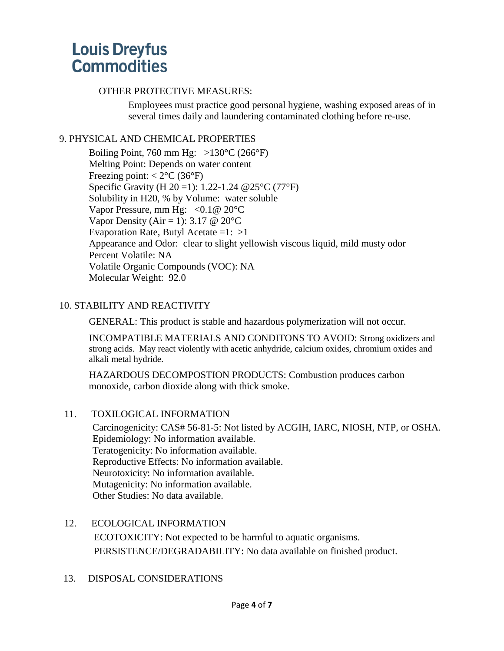#### OTHER PROTECTIVE MEASURES:

Employees must practice good personal hygiene, washing exposed areas of in several times daily and laundering contaminated clothing before re-use.

### 9. PHYSICAL AND CHEMICAL PROPERTIES

Boiling Point, 760 mm Hg:  $>130^{\circ}$ C (266 $^{\circ}$ F) Melting Point: Depends on water content Freezing point:  $< 2^{\circ}$ C (36 $^{\circ}$ F) Specific Gravity (H 20 =1): 1.22-1.24 @25°C (77°F) Solubility in H20, % by Volume: water soluble Vapor Pressure, mm Hg:  $\langle 0.1 \otimes 20$ °C Vapor Density (Air = 1): 3.17  $\omega$  20 °C Evaporation Rate, Butyl Acetate =1:  $>1$ Appearance and Odor: clear to slight yellowish viscous liquid, mild musty odor Percent Volatile: NA Volatile Organic Compounds (VOC): NA Molecular Weight: 92.0

## 10. STABILITY AND REACTIVITY

GENERAL: This product is stable and hazardous polymerization will not occur.

INCOMPATIBLE MATERIALS AND CONDITONS TO AVOID: Strong oxidizers and strong acids. May react violently with acetic anhydride, calcium oxides, chromium oxides and alkali metal hydride.

HAZARDOUS DECOMPOSTION PRODUCTS: Combustion produces carbon monoxide, carbon dioxide along with thick smoke.

#### 11. TOXILOGICAL INFORMATION

Carcinogenicity: CAS# 56-81-5: Not listed by ACGIH, IARC, NIOSH, NTP, or OSHA. Epidemiology: No information available. Teratogenicity: No information available. Reproductive Effects: No information available. Neurotoxicity: No information available. Mutagenicity: No information available. Other Studies: No data available.

- 12. ECOLOGICAL INFORMATION ECOTOXICITY: Not expected to be harmful to aquatic organisms. PERSISTENCE/DEGRADABILITY: No data available on finished product.
- 13. DISPOSAL CONSIDERATIONS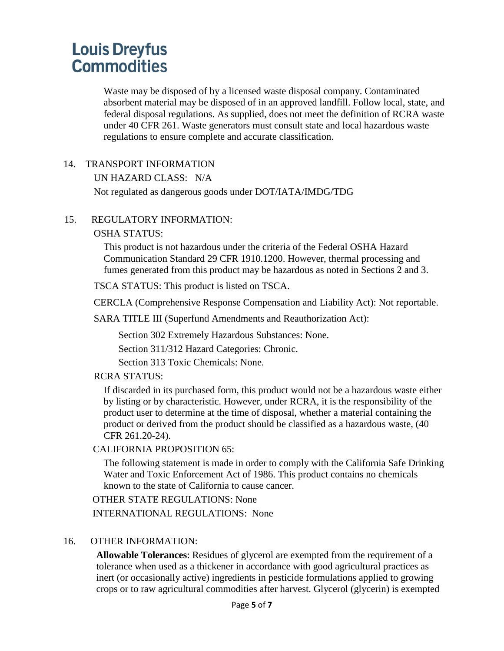Waste may be disposed of by a licensed waste disposal company. Contaminated absorbent material may be disposed of in an approved landfill. Follow local, state, and federal disposal regulations. As supplied, does not meet the definition of RCRA waste under 40 CFR 261. Waste generators must consult state and local hazardous waste regulations to ensure complete and accurate classification.

#### 14. TRANSPORT INFORMATION

UN HAZARD CLASS: N/A

Not regulated as dangerous goods under DOT/IATA/IMDG/TDG

#### 15. REGULATORY INFORMATION:

#### OSHA STATUS:

This product is not hazardous under the criteria of the Federal OSHA Hazard Communication Standard 29 CFR 1910.1200. However, thermal processing and fumes generated from this product may be hazardous as noted in Sections 2 and 3.

TSCA STATUS: This product is listed on TSCA.

CERCLA (Comprehensive Response Compensation and Liability Act): Not reportable.

SARA TITLE III (Superfund Amendments and Reauthorization Act):

Section 302 Extremely Hazardous Substances: None.

Section 311/312 Hazard Categories: Chronic.

Section 313 Toxic Chemicals: None.

#### RCRA STATUS:

If discarded in its purchased form, this product would not be a hazardous waste either by listing or by characteristic. However, under RCRA, it is the responsibility of the product user to determine at the time of disposal, whether a material containing the product or derived from the product should be classified as a hazardous waste, (40 CFR 261.20-24).

#### CALIFORNIA PROPOSITION 65:

The following statement is made in order to comply with the California Safe Drinking Water and Toxic Enforcement Act of 1986. This product contains no chemicals known to the state of California to cause cancer.

OTHER STATE REGULATIONS: None INTERNATIONAL REGULATIONS: None

#### 16. OTHER INFORMATION:

**Allowable Tolerances**: Residues of glycerol are exempted from the requirement of a tolerance when used as a thickener in accordance with good agricultural practices as inert (or occasionally active) ingredients in pesticide formulations applied to growing crops or to raw agricultural commodities after harvest. Glycerol (glycerin) is exempted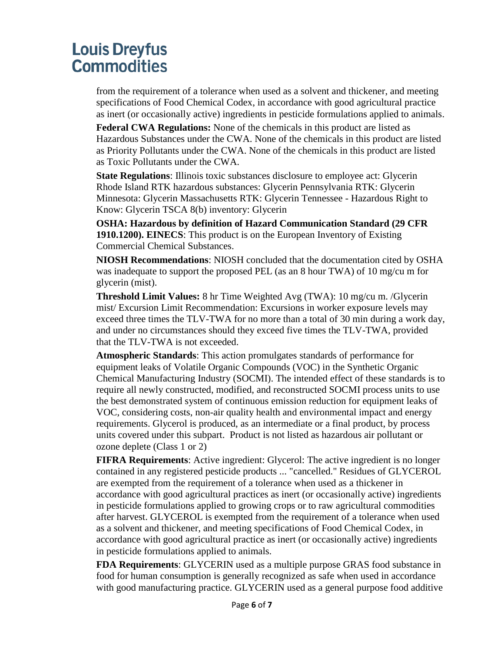from the requirement of a tolerance when used as a solvent and thickener, and meeting specifications of Food Chemical Codex, in accordance with good agricultural practice as inert (or occasionally active) ingredients in pesticide formulations applied to animals.

**Federal CWA Regulations:** None of the chemicals in this product are listed as Hazardous Substances under the CWA. None of the chemicals in this product are listed as Priority Pollutants under the CWA. None of the chemicals in this product are listed as Toxic Pollutants under the CWA.

**State Regulations**: Illinois toxic substances disclosure to employee act: Glycerin Rhode Island RTK hazardous substances: Glycerin Pennsylvania RTK: Glycerin Minnesota: Glycerin Massachusetts RTK: Glycerin Tennessee - Hazardous Right to Know: Glycerin TSCA 8(b) inventory: Glycerin

**OSHA: Hazardous by definition of Hazard Communication Standard (29 CFR 1910.1200). EINECS**: This product is on the European Inventory of Existing Commercial Chemical Substances.

**NIOSH Recommendations**: NIOSH concluded that the documentation cited by OSHA was inadequate to support the proposed PEL (as an 8 hour TWA) of 10 mg/cu m for glycerin (mist).

**Threshold Limit Values:** 8 hr Time Weighted Avg (TWA): 10 mg/cu m. /Glycerin mist/ Excursion Limit Recommendation: Excursions in worker exposure levels may exceed three times the TLV-TWA for no more than a total of 30 min during a work day, and under no circumstances should they exceed five times the TLV-TWA, provided that the TLV-TWA is not exceeded.

**Atmospheric Standards**: This action promulgates standards of performance for equipment leaks of Volatile Organic Compounds (VOC) in the Synthetic Organic Chemical Manufacturing Industry (SOCMI). The intended effect of these standards is to require all newly constructed, modified, and reconstructed SOCMI process units to use the best demonstrated system of continuous emission reduction for equipment leaks of VOC, considering costs, non-air quality health and environmental impact and energy requirements. Glycerol is produced, as an intermediate or a final product, by process units covered under this subpart. Product is not listed as hazardous air pollutant or ozone deplete (Class 1 or 2)

**FIFRA Requirements**: Active ingredient: Glycerol: The active ingredient is no longer contained in any registered pesticide products ... "cancelled." Residues of GLYCEROL are exempted from the requirement of a tolerance when used as a thickener in accordance with good agricultural practices as inert (or occasionally active) ingredients in pesticide formulations applied to growing crops or to raw agricultural commodities after harvest. GLYCEROL is exempted from the requirement of a tolerance when used as a solvent and thickener, and meeting specifications of Food Chemical Codex, in accordance with good agricultural practice as inert (or occasionally active) ingredients in pesticide formulations applied to animals.

**FDA Requirements**: GLYCERIN used as a multiple purpose GRAS food substance in food for human consumption is generally recognized as safe when used in accordance with good manufacturing practice. GLYCERIN used as a general purpose food additive